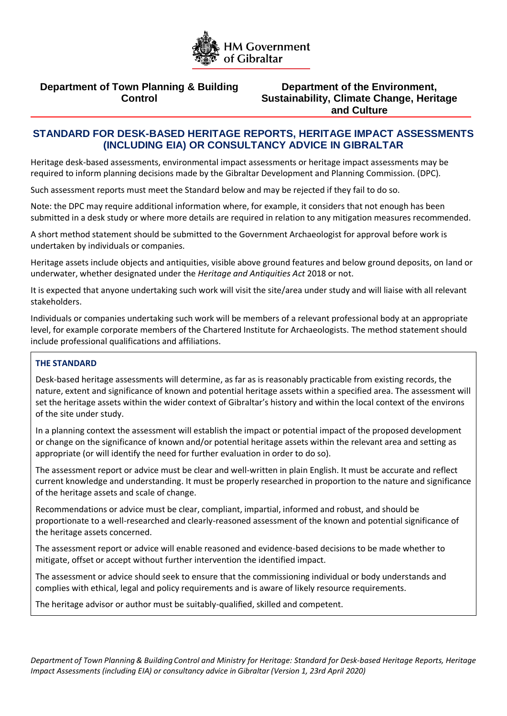

# **Department of Town Planning & Building Control**

**Department of the Environment, Sustainability, Climate Change, Heritage and Culture**

# **STANDARD FOR DESK-BASED HERITAGE REPORTS, HERITAGE IMPACT ASSESSMENTS (INCLUDING EIA) OR CONSULTANCY ADVICE IN GIBRALTAR**

Heritage desk-based assessments, environmental impact assessments or heritage impact assessments may be required to inform planning decisions made by the Gibraltar Development and Planning Commission. (DPC).

Such assessment reports must meet the Standard below and may be rejected if they fail to do so.

Note: the DPC may require additional information where, for example, it considers that not enough has been submitted in a desk study or where more details are required in relation to any mitigation measures recommended.

A short method statement should be submitted to the Government Archaeologist for approval before work is undertaken by individuals or companies.

Heritage assets include objects and antiquities, visible above ground features and below ground deposits, on land or underwater, whether designated under the *Heritage and Antiquities Act* 2018 or not.

It is expected that anyone undertaking such work will visit the site/area under study and will liaise with all relevant stakeholders.

Individuals or companies undertaking such work will be members of a relevant professional body at an appropriate level, for example corporate members of the Chartered Institute for Archaeologists. The method statement should include professional qualifications and affiliations.

### **THE STANDARD**

Desk-based heritage assessments will determine, as far as is reasonably practicable from existing records, the nature, extent and significance of known and potential heritage assets within a specified area. The assessment will set the heritage assets within the wider context of Gibraltar's history and within the local context of the environs of the site under study.

In a planning context the assessment will establish the impact or potential impact of the proposed development or change on the significance of known and/or potential heritage assets within the relevant area and setting as appropriate (or will identify the need for further evaluation in order to do so).

The assessment report or advice must be clear and well-written in plain English. It must be accurate and reflect current knowledge and understanding. It must be properly researched in proportion to the nature and significance of the heritage assets and scale of change.

Recommendations or advice must be clear, compliant, impartial, informed and robust, and should be proportionate to a well-researched and clearly-reasoned assessment of the known and potential significance of the heritage assets concerned.

The assessment report or advice will enable reasoned and evidence-based decisions to be made whether to mitigate, offset or accept without further intervention the identified impact.

The assessment or advice should seek to ensure that the commissioning individual or body understands and complies with ethical, legal and policy requirements and is aware of likely resource requirements.

The heritage advisor or author must be suitably-qualified, skilled and competent.

*Department of Town Planning & Building Control and Ministry for Heritage: Standard for Desk-based Heritage Reports, Heritage Impact Assessments (including EIA) or consultancy advice in Gibraltar (Version 1, 23rd April 2020)*